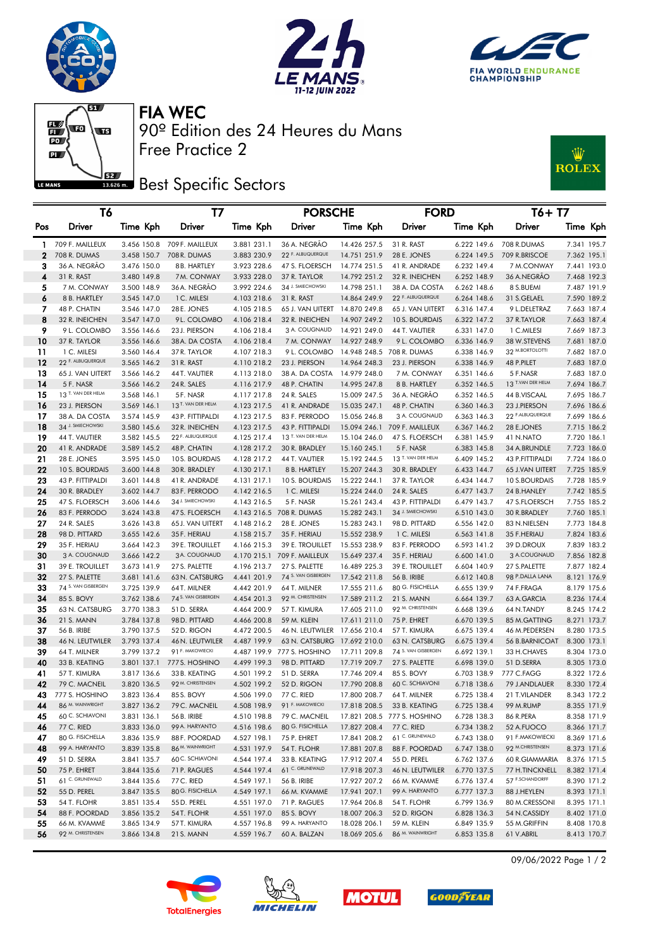







90º Edition des 24 Heures du Mans FIA WEC

**Best Specific Sectors** 

Free Practice 2



| Т6           |                                     |                            | Т7                                  |                            | <b>PORSCHE</b>                         |                              | <b>FORD</b>                     |                            | T6+ T7                              |                            |
|--------------|-------------------------------------|----------------------------|-------------------------------------|----------------------------|----------------------------------------|------------------------------|---------------------------------|----------------------------|-------------------------------------|----------------------------|
| Pos          | Driver                              | Time Kph                   | Driver                              | Time Kph                   | Driver                                 | Time Kph                     | Driver                          | Time Kph                   | Driver                              | Time Kph                   |
| 1.           | 709 F. MAILLEUX                     | 3.456 150.8                | 709 F. MAILLEUX                     | 3.881 231.1                | 36 A. NEGRÃO                           | 14.426 257.5                 | 31 R. RAST                      | 6.222 149.6                | 708 R.DUMAS                         | 7.341 195.7                |
| $\mathbf{2}$ | 708 R. DUMAS                        | 3.458 150.7                | 708 R. DUMAS                        | 3.883 230.9                | 22 F. ALBUQUERQUE                      | 14.751 251.9                 | 28 E. JONES                     | 6.224 149.5                | 709 R.BRISCOE                       | 7.362 195.1                |
| 3            | 36 A. NEGRÃO                        | 3.476 150.0                | 8 B. HARTLEY                        | 3.923 228.6                | 47 S. FLOERSCH                         | 14.774 251.5                 | 41 R. ANDRADE                   | 6.232 149.4                | 7 M.CONWAY                          | 7.441 193.0                |
| 4            | 31 R. RAST                          | 3.480 149.8                | 7M. CONWAY                          | 3.933 228.0                | 37 R. TAYLOR                           | 14.792 251.2                 | 32 R. INEICHEN                  | 6.252 148.9                | 36 A.NEGRÃO                         | 7.468 192.3                |
| 5            | 7 M. CONWAY                         | 3.500 148.9                | 36 A. NEGRÃO                        | 3.992 224.6                | 34 J. SMIECHOWSKI                      | 14.798 251.1                 | 38 A. DA COSTA                  | 6.262 148.6                | 8 S.BUEMI                           | 7.487 191.9                |
| 6            | 8 B. HARTLEY                        | 3.545 147.0                | 1 C. MILESI                         | 4.103 218.6                | 31 R. RAST                             | 14.864 249.9                 | 22 F. ALBUQUERQUE               | 6.264 148.6                | 31 S.GELAEL                         | 7.590 189.2                |
| 7            | 48 P. CHATIN                        | 3.546 147.0                | 28 E. JONES                         | 4.105 218.5                | 65 J. VAN UITERT                       | 14.870 249.8                 | 65 J. VAN UITERT                | 6.316 147.4                | 9 L.DELETRAZ                        | 7.663 187.4                |
| 8            | 32 R. INEICHEN                      | 3.547 147.0                | 9L. COLOMBO                         | 4.106 218.4                | 32 R. INEICHEN                         | 14.907 249.2                 | 10 S. BOURDAIS                  | 6.322 147.2                | 37 R.TAYLOR                         | 7.663 187.4                |
| 9            | 9 L. COLOMBO                        | 3.556 146.6                | 23 J. PIERSON                       | 4.106 218.4                | 3 A. COUGNAUD                          | 14.921 249.0                 | 44 T. VAUTIER                   | 6.331 147.0                | 1 C.MILESI                          | 7.669 187.3                |
| 10           | 37 R. TAYLOR                        | 3.556 146.6                | 38 A. DA COSTA                      | 4.106 218.4                | 7 M. CONWAY                            | 14.927 248.9                 | 9 L. COLOMBO                    | 6.336 146.9                | 38 W.STEVENS                        | 7.681 187.0                |
| 11           | 1 C. MILESI                         | 3.560 146.4                | 37 R. TAYLOR                        | 4.107 218.3                | 9 L. COLOMBO                           |                              | 14.948 248.5 708 R. DUMAS       | 6.338 146.9                | 32 M.BORTOLOTTI                     | 7.682 187.0                |
| 12           | 22 F. ALBUQUERQUE                   | 3.565 146.2                | 31 R. RAST                          | 4.110 218.2                | 23 J. PIERSON                          | 14.964 248.3                 | 23 J. PIERSON                   | 6.338 146.9                | 48 P.PILET                          | 7.683 187.0                |
| 13           | 65 J. VAN UITERT                    | 3.566 146.2                | 44 T. VAUTIER                       | 4.113 218.0                | 38 A. DA COSTA                         | 14.979 248.0                 | 7 M. CONWAY                     | 6.351 146.6                | 5 F.NASR                            | 7.683 187.0                |
| 14           | 5 F. NASR                           | 3.566 146.2                | 24 R. SALES                         | 4.116 217.9                | 48 P. CHATIN                           | 14.995 247.8                 | 8 B. HARTLEY                    | 6.352 146.5                | 13 T.VAN DER HELM                   | 7.694 186.7                |
| 15           | 13 T. VAN DER HELM                  | 3.568 146.1                | 5F. NASR                            | 4.117 217.8                | 24 R. SALES                            | 15.009 247.5                 | 36 A. NEGRÃO                    | 6.352 146.5                | 44 B.VISCAAL                        | 7.695 186.7                |
| 16           | 23 J. PIERSON                       | 3.569 146.1                | 13 T. VAN DER HELM                  | 4.123 217.5                | 41 R. ANDRADE                          | 15.035 247.1                 | 48 P. CHATIN                    | 6.360 146.3                | 23 J.PIERSON                        | 7.696 186.6                |
| 17           | 38 A. DA COSTA<br>34 J. SMIECHOWSKI | 3.574 145.9                | 43 P. FITTIPALDI                    | 4.123 217.5                | 83 F. PERRODO                          | 15.056 246.8                 | 3 A. COUGNAUD                   | 6.363 146.3                | 22 F.ALBUQUERQUE                    | 7.699 186.6                |
| 18           |                                     | 3.580 145.6                | 32 R. INEICHEN<br>22 F. ALBUQUERQUE | 4.123 217.5                | 43 P. FITTIPALDI<br>13 T. VAN DER HELM | 15.094 246.1                 | 709 F. MAILLEUX                 | 6.367 146.2                | 28 E.JONES                          | 7.715 186.2                |
| 19           | 44 T. VAUTIER                       | 3.582 145.5                |                                     | 4.125 217.4                |                                        | 15.104 246.0                 | 47 S. FLOERSCH                  | 6.381 145.9                | 41 N.NATO                           | 7.720 186.1                |
| 20<br>21     | 41 R. ANDRADE<br>28 E. JONES        | 3.589 145.2<br>3.595 145.0 | 48 P. CHATIN<br>10S. BOURDAIS       | 4.128 217.2<br>4.128 217.2 | 30 R. BRADLEY                          | 15.160 245.1                 | 5 F. NASR<br>13 T. VAN DER HELM | 6.383 145.8                | 34 A.BRUNDLE                        | 7.723 186.0<br>7.724 186.0 |
| 22           | 10 S. BOURDAIS                      | 3.600 144.8                | 30 R. BRADLEY                       | 4.130 217.1                | 44 T. VAUTIER<br>8 B. HARTLEY          | 15.192 244.5<br>15.207 244.3 | 30 R. BRADLEY                   | 6.409 145.2<br>6.433 144.7 | 43 P.FITTIPALDI<br>65 J.VAN UITERT  | 7.725 185.9                |
| 23           | 43 P. FITTIPALDI                    | 3.601 144.8                | 41 R. ANDRADE                       | 4.131 217.1                | 10 S. BOURDAIS                         | 15.222 244.1                 | 37 R. TAYLOR                    | 6.434 144.7                | 10 S.BOURDAIS                       | 7.728 185.9                |
| 24           | 30 R. BRADLEY                       | 3.602 144.7                | 83 F. PERRODO                       | 4.142 216.5                | 1 C. MILESI                            | 15.224 244.0                 | 24 R. SALES                     | 6.477 143.7                | 24 B.HANLEY                         | 7.742 185.5                |
| 25           | 47 S. FLOERSCH                      | 3.606 144.6                | 34 J. SMIECHOWSKI                   | 4.143 216.5                | 5 F. NASR                              | 15.261 243.4                 | 43 P. FITTIPALDI                | 6.479 143.7                | 47 S.FLOERSCH                       | 7.755 185.2                |
| 26           | 83 F. PERRODO                       | 3.624 143.8                | 47 S. FLOERSCH                      | 4.143 216.5                | 708 R. DUMAS                           | 15.282 243.1                 | 34 J. SMIECHOWSKI               | 6.510 143.0                | 30 R.BRADLEY                        | 7.760 185.1                |
| 27           | 24 R. SALES                         | 3.626 143.8                | 65 J. VAN UITERT                    | 4.148 216.2                | 28 E. JONES                            | 15.283 243.1                 | 98 D. PITTARD                   | 6.556 142.0                | 83 N.NIELSEN                        | 7.773 184.8                |
| 28           | 98 D. PITTARD                       | 3.655 142.6                | 35 F. HERIAU                        | 4.158 215.7                | 35 F. HERIAU                           | 15.552 238.9                 | 1 C. MILESI                     | 6.563 141.8                | 35 F.HERIAU                         | 7.824 183.6                |
| 29           | 35 F. HERIAU                        | 3.664 142.3                | 39 E. TROUILLET                     | 4.166 215.3                | 39 E. TROUILLET                        | 15.553 238.9                 | 83 F. PERRODO                   | 6.593 141.2                | 39 D.DROUX                          | 7.839 183.2                |
| 30           | 3 A. COUGNAUD                       | 3.666 142.2                | 3 A. COUGNAUD                       |                            | 4.170 215.1 709 F. MAILLEUX            | 15.649 237.4                 | 35 F. HERIAU                    | 6.600 141.0                | 3 A.COUGNAUD                        | 7.856 182.8                |
| 31           | 39 E. TROUILLET                     | 3.673 141.9                | 27 S. PALETTE                       | 4.196 213.7                | 27 S. PALETTE                          | 16.489 225.3                 | 39 E. TROUILLET                 | 6.604 140.9                | 27 S.PALETTE                        | 7.877 182.4                |
| 32           | 27 S. PALETTE                       | 3.681 141.6                | 63 N. CATSBURG                      | 4.441 201.9                | 74 S. VAN GISBERGEN                    | 17.542 211.8                 | 56 B. IRIBE                     | 6.612 140.8                | 98 P.DALLA LANA                     | 8.121 176.9                |
| 33           | 74 S. VAN GISBERGEN                 | 3.725 139.9                | 64T. MILNER                         | 4.442 201.9                | 64 T. MILNER                           | 17.555 211.6                 | 80 G. FISICHELLA                | 6.655 139.9                | 74 F.FRAGA                          | 8.179 175.6                |
| 34           | 85 S. BOVY                          | 3.762 138.6                | 74 S. VAN GISBERGEN                 | 4.454 201.3                | 92 M. CHRISTENSEN                      | 17.589 211.2                 | 21 S. MANN                      | 6.664 139.7                | 63 A.GARCIA                         | 8.236 174.4                |
| 35           | 63 N. CATSBURG                      | 3.770 138.3                | 51 D. SERRA                         | 4.464 200.9                | 57 T. KIMURA                           | 17.605 211.0                 | 92 M. CHRISTENSEN               | 6.668 139.6                | 64 N.TANDY                          | 8.245 174.2                |
| 36           | 21 S. MANN                          | 3.784 137.8                | 98 D. PITTARD                       | 4.466 200.8                | 59 M. KLEIN                            | 17.611 211.0                 | 75 P. EHRET                     | 6.670 139.5                | 85 M.GATTING                        | 8.271 173.7                |
| 37           | 56 B. IRIBE                         | 3.790 137.5                | 52 D. RIGON                         | 4.472 200.5                | 46 N. LEUTWILER 17.656 210.4           |                              | 57 T. KIMURA                    | 6.675 139.4                | 46 M.PEDERSEN                       | 8.280 173.5                |
| 38           | 46 N. LEUTWILER                     | 3.793 137.4                | 46 N. LEUTWILER                     | 4.487 199.9                | 63 N. CATSBURG                         | 17.692 210.0                 | 63 N. CATSBURG                  | 6.675 139.4                | 56 B.BARNICOAT                      | 8.300 173.1                |
| 39           | 64 T. MILNER                        | 3.799 137.2                | 91 F. MAKOWIECKI                    |                            | 4.487 199.9 777 S. HOSHINO             | 17.711 209.8                 | 74 S. VAN GISBERGEN             | 6.692 139.1                | 33 H.CHAVES                         | 8.304 173.0                |
| 40           | 33 B. KEATING                       | 3.801 137.1                | 777 S. HOSHINO                      | 4.499 199.3                | 98 D. PITTARD                          | 17.719 209.7                 | 27 S. PALETTE                   | 6.698 139.0                | 51 D.SERRA                          | 8.305 173.0                |
| 41           | 57 T. KIMURA                        | 3.817 136.6                | 33 B. KEATING                       | 4.501 199.2                | 51 D. SERRA                            | 17.746 209.4                 | 85 S. BOVY                      | 6.703 138.9                | 777 C.FAGG                          | 8.322 172.6                |
| 42           | 79 C. MACNEIL                       | 3.820 136.5                | 97 M. CHRISTENSEN                   | 4.502 199.2                | 52 D. RIGON                            | 17.790 208.8                 | 60 C. SCHIAVONI                 | 6.718 138.6                | 79 J.ANDLAUER                       | 8.330 172.4                |
| 43           | 777 S. HOSHINO                      | 3.823 136.4                | 85 S. BOVY                          | 4.506 199.0                | 77 C. RIED                             | 17.800 208.7                 | 64 T. MILNER                    | 6.725 138.4                | 21 T.VILANDER                       | 8.343 172.2                |
| 44           | 86 M. WAINWRIGHT                    | 3.827 136.2                | 79 C. MACNEIL                       | 4.508 198.9                | 91 F. MAKOWIECKI                       | 17.818 208.5                 | 33 B. KEATING                   | 6.725 138.4                | 99 M.RUMP                           | 8.355 171.9                |
| 45           | 60 C. SCHIAVONI                     | 3.831 136.1                | 56 B. IRIBE                         | 4.510 198.8                | 79 C. MACNEIL                          |                              | 17.821 208.5 777 S. HOSHINO     | 6.728 138.3                | 86 R.PERA                           | 8.358 171.9                |
| 46           | 77 C. RIED                          | 3.833 136.0                | 99 A. HARYANTO                      | 4.516 198.6                | 80 G. FISICHELLA                       | 17.827 208.4                 | 77 C. RIED                      | 6.734 138.2                | 52 A.FUOCO                          | 8.366 171.7                |
| 47           | 80 G. FISICHELLA<br>99 A. HARYANTO  | 3.836 135.9                | 88 F. POORDAD<br>86 M. WAINWRIGHT   | 4.527 198.1                | 75 P. EHRET                            | 17.841 208.2                 | 61 C. GRUNEWALD                 | 6.743 138.0                | 91 F.MAKOWIECKI<br>92 M.CHRISTENSEN | 8.369 171.6                |
| 48           |                                     | 3.839 135.8                | 60 C. SCHIAVONI                     | 4.531 197.9                | 54 T. FLOHR<br>33 B. KEATING           | 17.881 207.8<br>17.912 207.4 | 88 F. POORDAD<br>55 D. PEREL    | 6.747 138.0<br>6.762 137.6 | 60 R.GIAMMARIA                      | 8.373 171.6                |
| 49<br>50     | 51 D. SERRA<br>75 P. EHRET          | 3.841 135.7<br>3.844 135.6 | 71 P. RAGUES                        | 4.544 197.4                | 61 C. GRUNEWALD                        | 17.918 207.3                 | 46 N. LEUTWILER                 |                            | 77 H.TINCKNELL                      | 8.376 171.5<br>8.382 171.4 |
| 51           | 61 C. GRUNEWALD                     | 3.844 135.6                | 77 C. RIED                          | 4.544 197.4<br>4.549 197.1 | 56 B. IRIBE                            | 17.927 207.2                 | 66 M. KVAMME                    | 6.770 137.5<br>6.776 137.4 | 57 F.SCHANDORFF                     | 8.390 171.2                |
| 52           | 55 D. PEREL                         | 3.847 135.5                | 80 G. FISICHELLA                    | 4.549 197.1                | 66 M. KVAMME                           | 17.941 207.1                 | 99 A. HARYANTO                  | 6.777 137.3                | 88 J.HEYLEN                         | 8.393 171.1                |
| 53           | 54 T. FLOHR                         | 3.851 135.4                | 55 D. PEREL                         | 4.551 197.0                | 71 P. RAGUES                           | 17.964 206.8                 | 54 T. FLOHR                     | 6.799 136.9                | 80 M.CRESSONI                       | 8.395 171.1                |
| 54           | 88 F. POORDAD                       | 3.856 135.2                | 54T. FLOHR                          | 4.551 197.0                | 85 S. BOVY                             | 18.007 206.3                 | 52 D. RIGON                     | 6.828 136.3                | 54 N.CASSIDY                        | 8.402 171.0                |
| 55           | 66 M. KVAMME                        | 3.865 134.9                | 57 T. KIMURA                        | 4.557 196.8                | 99 A. HARYANTO                         | 18.028 206.1                 | 59 M. KLEIN                     | 6.849 135.9                | 55 M.GRIFFIN                        | 8.408 170.8                |
| 56           | 92 M. CHRISTENSEN                   | 3.866 134.8                | 21 S. MANN                          | 4.559 196.7                | 60 A. BALZAN                           | 18.069 205.6                 | 86 M. WAINWRIGHT                | 6.853 135.8                | 61 V.ABRIL                          | 8.413 170.7                |







**GOOD**FYEAR